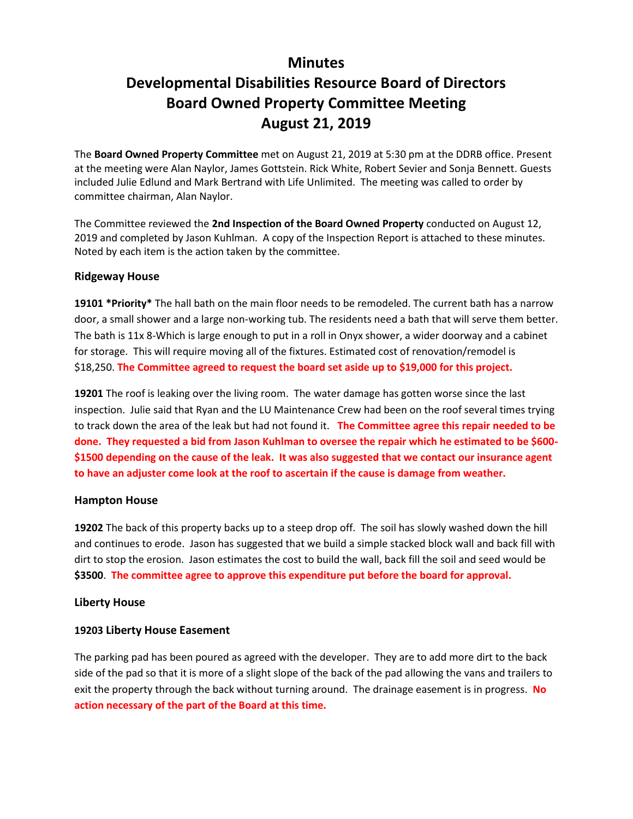# **Minutes**

# **Developmental Disabilities Resource Board of Directors Board Owned Property Committee Meeting August 21, 2019**

The **Board Owned Property Committee** met on August 21, 2019 at 5:30 pm at the DDRB office. Present at the meeting were Alan Naylor, James Gottstein. Rick White, Robert Sevier and Sonja Bennett. Guests included Julie Edlund and Mark Bertrand with Life Unlimited. The meeting was called to order by committee chairman, Alan Naylor.

The Committee reviewed the **2nd Inspection of the Board Owned Property** conducted on August 12, 2019 and completed by Jason Kuhlman. A copy of the Inspection Report is attached to these minutes. Noted by each item is the action taken by the committee.

#### **Ridgeway House**

**19101 \*Priority\*** The hall bath on the main floor needs to be remodeled. The current bath has a narrow door, a small shower and a large non-working tub. The residents need a bath that will serve them better. The bath is 11x 8-Which is large enough to put in a roll in Onyx shower, a wider doorway and a cabinet for storage. This will require moving all of the fixtures. Estimated cost of renovation/remodel is \$18,250. **The Committee agreed to request the board set aside up to \$19,000 for this project.**

**19201** The roof is leaking over the living room. The water damage has gotten worse since the last inspection. Julie said that Ryan and the LU Maintenance Crew had been on the roof several times trying to track down the area of the leak but had not found it. **The Committee agree this repair needed to be done. They requested a bid from Jason Kuhlman to oversee the repair which he estimated to be \$600- \$1500 depending on the cause of the leak. It was also suggested that we contact our insurance agent to have an adjuster come look at the roof to ascertain if the cause is damage from weather.**

#### **Hampton House**

**19202** The back of this property backs up to a steep drop off. The soil has slowly washed down the hill and continues to erode. Jason has suggested that we build a simple stacked block wall and back fill with dirt to stop the erosion. Jason estimates the cost to build the wall, back fill the soil and seed would be **\$3500**. **The committee agree to approve this expenditure put before the board for approval.**

# **Liberty House**

#### **19203 Liberty House Easement**

The parking pad has been poured as agreed with the developer. They are to add more dirt to the back side of the pad so that it is more of a slight slope of the back of the pad allowing the vans and trailers to exit the property through the back without turning around. The drainage easement is in progress. **No action necessary of the part of the Board at this time.**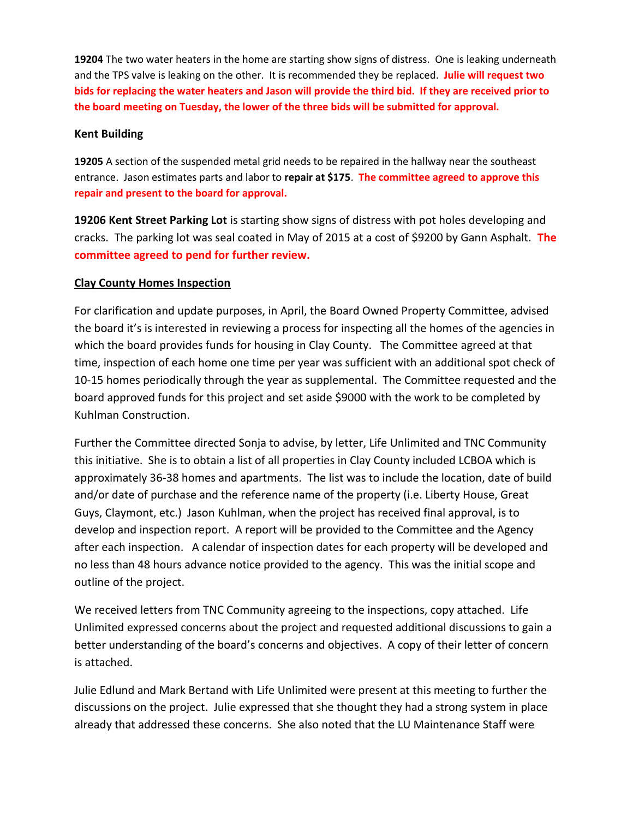**19204** The two water heaters in the home are starting show signs of distress. One is leaking underneath and the TPS valve is leaking on the other. It is recommended they be replaced. **Julie will request two bids for replacing the water heaters and Jason will provide the third bid. If they are received prior to the board meeting on Tuesday, the lower of the three bids will be submitted for approval.**

### **Kent Building**

**19205** A section of the suspended metal grid needs to be repaired in the hallway near the southeast entrance. Jason estimates parts and labor to **repair at \$175**. **The committee agreed to approve this repair and present to the board for approval.**

**19206 Kent Street Parking Lot** is starting show signs of distress with pot holes developing and cracks. The parking lot was seal coated in May of 2015 at a cost of \$9200 by Gann Asphalt. **The committee agreed to pend for further review.**

# **Clay County Homes Inspection**

For clarification and update purposes, in April, the Board Owned Property Committee, advised the board it's is interested in reviewing a process for inspecting all the homes of the agencies in which the board provides funds for housing in Clay County. The Committee agreed at that time, inspection of each home one time per year was sufficient with an additional spot check of 10-15 homes periodically through the year as supplemental. The Committee requested and the board approved funds for this project and set aside \$9000 with the work to be completed by Kuhlman Construction.

Further the Committee directed Sonja to advise, by letter, Life Unlimited and TNC Community this initiative. She is to obtain a list of all properties in Clay County included LCBOA which is approximately 36-38 homes and apartments. The list was to include the location, date of build and/or date of purchase and the reference name of the property (i.e. Liberty House, Great Guys, Claymont, etc.) Jason Kuhlman, when the project has received final approval, is to develop and inspection report. A report will be provided to the Committee and the Agency after each inspection. A calendar of inspection dates for each property will be developed and no less than 48 hours advance notice provided to the agency. This was the initial scope and outline of the project.

We received letters from TNC Community agreeing to the inspections, copy attached. Life Unlimited expressed concerns about the project and requested additional discussions to gain a better understanding of the board's concerns and objectives. A copy of their letter of concern is attached.

Julie Edlund and Mark Bertand with Life Unlimited were present at this meeting to further the discussions on the project. Julie expressed that she thought they had a strong system in place already that addressed these concerns. She also noted that the LU Maintenance Staff were